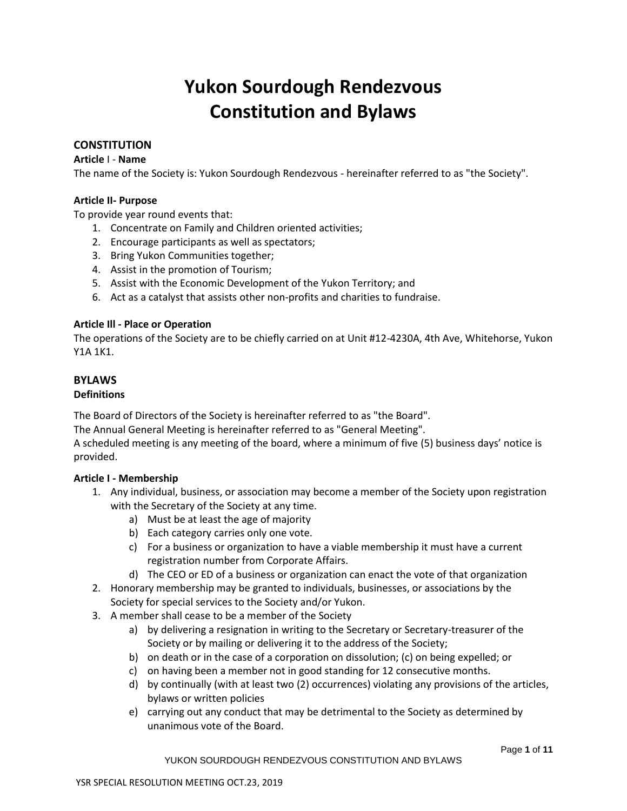# **Yukon Sourdough Rendezvous Constitution and Bylaws**

# **CONSTITUTION**

#### **Article** I - **Name**

The name of the Society is: Yukon Sourdough Rendezvous - hereinafter referred to as "the Society".

# **Article II- Purpose**

To provide year round events that:

- 1. Concentrate on Family and Children oriented activities;
- 2. Encourage participants as well as spectators;
- 3. Bring Yukon Communities together;
- 4. Assist in the promotion of Tourism;
- 5. Assist with the Economic Development of the Yukon Territory; and
- 6. Act as a catalyst that assists other non-profits and charities to fundraise.

# **Article Ill - Place or Operation**

The operations of the Society are to be chiefly carried on at Unit #12-4230A, 4th Ave, Whitehorse, Yukon Y1A 1K1.

# **BYLAWS**

# **Definitions**

The Board of Directors of the Society is hereinafter referred to as "the Board".

The Annual General Meeting is hereinafter referred to as "General Meeting".

A scheduled meeting is any meeting of the board, where a minimum of five (5) business days' notice is provided.

# **Article I - Membership**

- 1. Any individual, business, or association may become a member of the Society upon registration with the Secretary of the Society at any time.
	- a) Must be at least the age of majority
	- b) Each category carries only one vote.
	- c) For a business or organization to have a viable membership it must have a current registration number from Corporate Affairs.
	- d) The CEO or ED of a business or organization can enact the vote of that organization
- 2. Honorary membership may be granted to individuals, businesses, or associations by the Society for special services to the Society and/or Yukon.
- 3. A member shall cease to be a member of the Society
	- a) by delivering a resignation in writing to the Secretary or Secretary-treasurer of the Society or by mailing or delivering it to the address of the Society;
	- b) on death or in the case of a corporation on dissolution; (c) on being expelled; or
	- c) on having been a member not in good standing for 12 consecutive months.
	- d) by continually (with at least two (2) occurrences) violating any provisions of the articles, bylaws or written policies
	- e) carrying out any conduct that may be detrimental to the Society as determined by unanimous vote of the Board.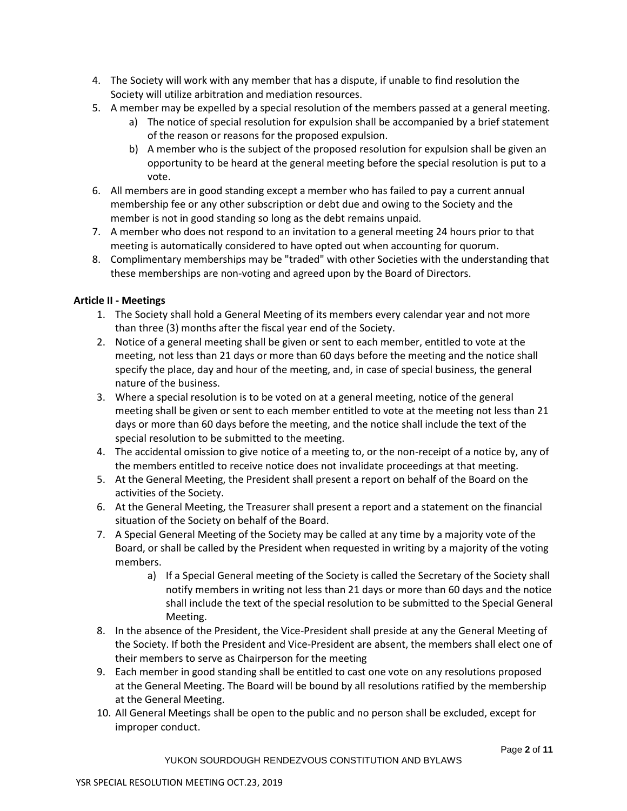- 4. The Society will work with any member that has a dispute, if unable to find resolution the Society will utilize arbitration and mediation resources.
- 5. A member may be expelled by a special resolution of the members passed at a general meeting.
	- a) The notice of special resolution for expulsion shall be accompanied by a brief statement of the reason or reasons for the proposed expulsion.
	- b) A member who is the subject of the proposed resolution for expulsion shall be given an opportunity to be heard at the general meeting before the special resolution is put to a vote.
- 6. All members are in good standing except a member who has failed to pay a current annual membership fee or any other subscription or debt due and owing to the Society and the member is not in good standing so long as the debt remains unpaid.
- 7. A member who does not respond to an invitation to a general meeting 24 hours prior to that meeting is automatically considered to have opted out when accounting for quorum.
- 8. Complimentary memberships may be "traded" with other Societies with the understanding that these memberships are non-voting and agreed upon by the Board of Directors.

# **Article II - Meetings**

- 1. The Society shall hold a General Meeting of its members every calendar year and not more than three (3) months after the fiscal year end of the Society.
- 2. Notice of a general meeting shall be given or sent to each member, entitled to vote at the meeting, not less than 21 days or more than 60 days before the meeting and the notice shall specify the place, day and hour of the meeting, and, in case of special business, the general nature of the business.
- 3. Where a special resolution is to be voted on at a general meeting, notice of the general meeting shall be given or sent to each member entitled to vote at the meeting not less than 21 days or more than 60 days before the meeting, and the notice shall include the text of the special resolution to be submitted to the meeting.
- 4. The accidental omission to give notice of a meeting to, or the non-receipt of a notice by, any of the members entitled to receive notice does not invalidate proceedings at that meeting.
- 5. At the General Meeting, the President shall present a report on behalf of the Board on the activities of the Society.
- 6. At the General Meeting, the Treasurer shall present a report and a statement on the financial situation of the Society on behalf of the Board.
- 7. A Special General Meeting of the Society may be called at any time by a majority vote of the Board, or shall be called by the President when requested in writing by a majority of the voting members.
	- a) If a Special General meeting of the Society is called the Secretary of the Society shall notify members in writing not less than 21 days or more than 60 days and the notice shall include the text of the special resolution to be submitted to the Special General Meeting.
- 8. In the absence of the President, the Vice-President shall preside at any the General Meeting of the Society. If both the President and Vice-President are absent, the members shall elect one of their members to serve as Chairperson for the meeting
- 9. Each member in good standing shall be entitled to cast one vote on any resolutions proposed at the General Meeting. The Board will be bound by all resolutions ratified by the membership at the General Meeting.
- 10. All General Meetings shall be open to the public and no person shall be excluded, except for improper conduct.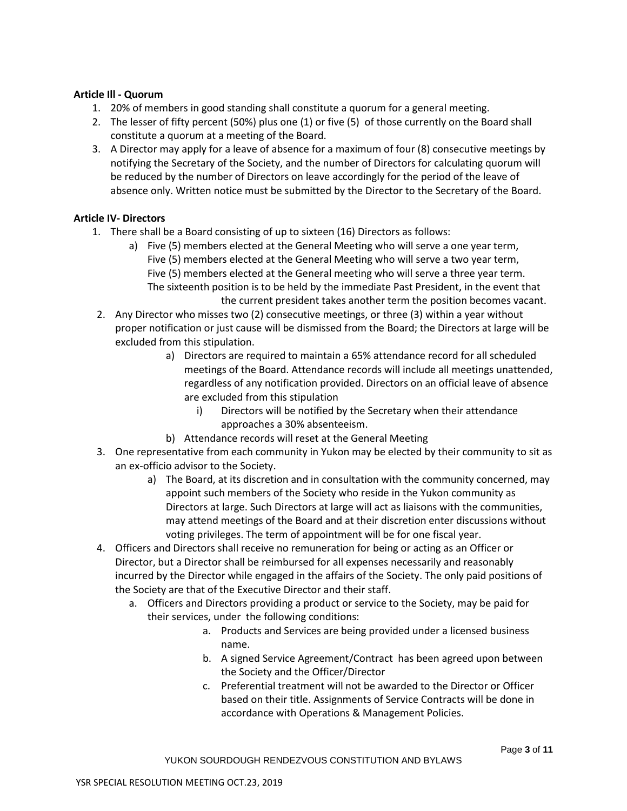#### **Article Ill - Quorum**

- 1. 20% of members in good standing shall constitute a quorum for a general meeting.
- 2. The lesser of fifty percent (50%) plus one (1) or five (5) of those currently on the Board shall constitute a quorum at a meeting of the Board.
- 3. A Director may apply for a leave of absence for a maximum of four (8) consecutive meetings by notifying the Secretary of the Society, and the number of Directors for calculating quorum will be reduced by the number of Directors on leave accordingly for the period of the leave of absence only. Written notice must be submitted by the Director to the Secretary of the Board.

# **Article IV- Directors**

- 1. There shall be a Board consisting of up to sixteen (16) Directors as follows:
	- a) Five (5) members elected at the General Meeting who will serve a one year term, Five (5) members elected at the General Meeting who will serve a two year term, Five (5) members elected at the General meeting who will serve a three year term. The sixteenth position is to be held by the immediate Past President, in the event that the current president takes another term the position becomes vacant.
- 2. Any Director who misses two (2) consecutive meetings, or three (3) within a year without proper notification or just cause will be dismissed from the Board; the Directors at large will be excluded from this stipulation.
	- a) Directors are required to maintain a 65% attendance record for all scheduled meetings of the Board. Attendance records will include all meetings unattended, regardless of any notification provided. Directors on an official leave of absence are excluded from this stipulation
		- i) Directors will be notified by the Secretary when their attendance approaches a 30% absenteeism.
	- b) Attendance records will reset at the General Meeting
- 3. One representative from each community in Yukon may be elected by their community to sit as an ex-officio advisor to the Society.
	- a) The Board, at its discretion and in consultation with the community concerned, may appoint such members of the Society who reside in the Yukon community as Directors at large. Such Directors at large will act as liaisons with the communities, may attend meetings of the Board and at their discretion enter discussions without voting privileges. The term of appointment will be for one fiscal year.
- 4. Officers and Directors shall receive no remuneration for being or acting as an Officer or Director, but a Director shall be reimbursed for all expenses necessarily and reasonably incurred by the Director while engaged in the affairs of the Society. The only paid positions of the Society are that of the Executive Director and their staff.
	- a. Officers and Directors providing a product or service to the Society, may be paid for their services, under the following conditions:
		- a. Products and Services are being provided under a licensed business name.
		- b. A signed Service Agreement/Contract has been agreed upon between the Society and the Officer/Director
		- c. Preferential treatment will not be awarded to the Director or Officer based on their title. Assignments of Service Contracts will be done in accordance with Operations & Management Policies.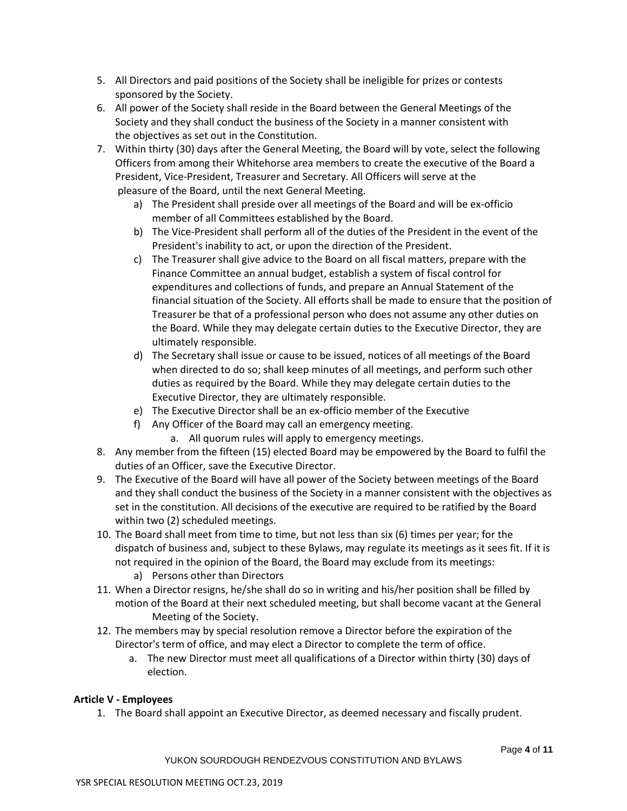- 5. All Directors and paid positions of the Society shall be ineligible for prizes or contests sponsored by the Society.
- 6. All power of the Society shall reside in the Board between the General Meetings of the Society and they shall conduct the business of the Society in a manner consistent with the objectives as set out in the Constitution.
- 7. Within thirty (30) days after the General Meeting, the Board will by vote, select the following Officers from among their Whitehorse area members to create the executive of the Board a President, Vice-President, Treasurer and Secretary. All Officers will serve at the pleasure of the Board, until the next General Meeting.
	- a) The President shall preside over all meetings of the Board and will be ex-officio member of all Committees established by the Board.
	- b) The Vice-President shall perform all of the duties of the President in the event of the President's inability to act, or upon the direction of the President.
	- c) The Treasurer shall give advice to the Board on all fiscal matters, prepare with the Finance Committee an annual budget, establish a system of fiscal control for expenditures and collections of funds, and prepare an Annual Statement of the financial situation of the Society. All efforts shall be made to ensure that the position of Treasurer be that of a professional person who does not assume any other duties on the Board. While they may delegate certain duties to the Executive Director, they are ultimately responsible.
	- d) The Secretary shall issue or cause to be issued, notices of all meetings of the Board when directed to do so; shall keep minutes of all meetings, and perform such other duties as required by the Board. While they may delegate certain duties to the Executive Director, they are ultimately responsible.
	- e) The Executive Director shall be an ex-officio member of the Executive
	- f) Any Officer of the Board may call an emergency meeting. a. All quorum rules will apply to emergency meetings.
- 8. Any member from the fifteen (15) elected Board may be empowered by the Board to fulfil the duties of an Officer, save the Executive Director.
- 9. The Executive of the Board will have all power of the Society between meetings of the Board and they shall conduct the business of the Society in a manner consistent with the objectives as set in the constitution. All decisions of the executive are required to be ratified by the Board within two (2) scheduled meetings.
- 10. The Board shall meet from time to time, but not less than six (6) times per year; for the dispatch of business and, subject to these Bylaws, may regulate its meetings as it sees fit. If it is not required in the opinion of the Board, the Board may exclude from its meetings:
	- a) Persons other than Directors
- 11. When a Director resigns, he/she shall do so in writing and his/her position shall be filled by motion of the Board at their next scheduled meeting, but shall become vacant at the General Meeting of the Society.
- 12. The members may by special resolution remove a Director before the expiration of the Director's term of office, and may elect a Director to complete the term of office.
	- a. The new Director must meet all qualifications of a Director within thirty (30) days of election.

# **Article V - Employees**

1. The Board shall appoint an Executive Director, as deemed necessary and fiscally prudent.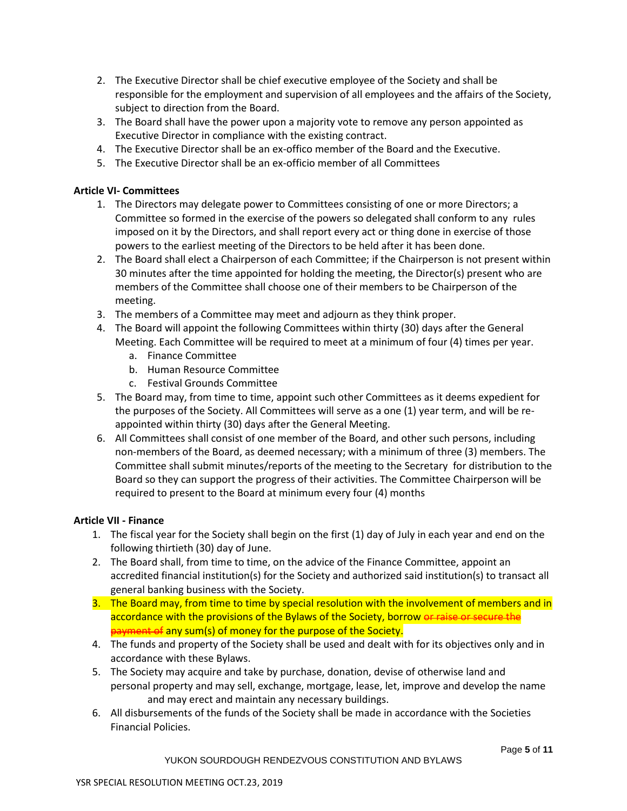- 2. The Executive Director shall be chief executive employee of the Society and shall be responsible for the employment and supervision of all employees and the affairs of the Society, subject to direction from the Board.
- 3. The Board shall have the power upon a majority vote to remove any person appointed as Executive Director in compliance with the existing contract.
- 4. The Executive Director shall be an ex-offico member of the Board and the Executive.
- 5. The Executive Director shall be an ex-officio member of all Committees

# **Article VI- Committees**

- 1. The Directors may delegate power to Committees consisting of one or more Directors; a Committee so formed in the exercise of the powers so delegated shall conform to any rules imposed on it by the Directors, and shall report every act or thing done in exercise of those powers to the earliest meeting of the Directors to be held after it has been done.
- 2. The Board shall elect a Chairperson of each Committee; if the Chairperson is not present within 30 minutes after the time appointed for holding the meeting, the Director(s) present who are members of the Committee shall choose one of their members to be Chairperson of the meeting.
- 3. The members of a Committee may meet and adjourn as they think proper.
- 4. The Board will appoint the following Committees within thirty (30) days after the General Meeting. Each Committee will be required to meet at a minimum of four (4) times per year.
	- a. Finance Committee
	- b. Human Resource Committee
	- c. Festival Grounds Committee
- 5. The Board may, from time to time, appoint such other Committees as it deems expedient for the purposes of the Society. All Committees will serve as a one (1) year term, and will be reappointed within thirty (30) days after the General Meeting.
- 6. All Committees shall consist of one member of the Board, and other such persons, including non-members of the Board, as deemed necessary; with a minimum of three (3) members. The Committee shall submit minutes/reports of the meeting to the Secretary for distribution to the Board so they can support the progress of their activities. The Committee Chairperson will be required to present to the Board at minimum every four (4) months

# **Article VII - Finance**

- 1. The fiscal year for the Society shall begin on the first (1) day of July in each year and end on the following thirtieth (30) day of June.
- 2. The Board shall, from time to time, on the advice of the Finance Committee, appoint an accredited financial institution(s) for the Society and authorized said institution(s) to transact all general banking business with the Society.
- 3. The Board may, from time to time by special resolution with the involvement of members and in accordance with the provisions of the Bylaws of the Society, borrow or raise or secure the payment of any sum(s) of money for the purpose of the Society.
- 4. The funds and property of the Society shall be used and dealt with for its objectives only and in accordance with these Bylaws.
- 5. The Society may acquire and take by purchase, donation, devise of otherwise land and personal property and may sell, exchange, mortgage, lease, let, improve and develop the name and may erect and maintain any necessary buildings.
- 6. All disbursements of the funds of the Society shall be made in accordance with the Societies Financial Policies.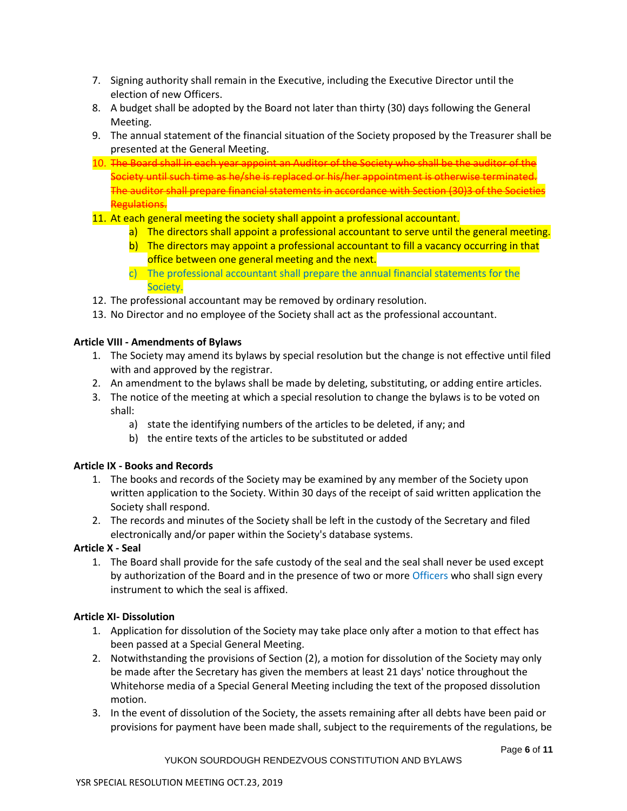- 7. Signing authority shall remain in the Executive, including the Executive Director until the election of new Officers.
- 8. A budget shall be adopted by the Board not later than thirty (30) days following the General Meeting.
- 9. The annual statement of the financial situation of the Society proposed by the Treasurer shall be presented at the General Meeting.
- 10. The Board shall in each year appoint an Auditor of the Society who shall be the auditor of the Society until such time as he/she is replaced or his/her appointment is otherwise terminated. The auditor shall prepare financial statements in accordance with Section (30)3 of the Societies Regulations.
- 11. At each general meeting the society shall appoint a professional accountant.
	- a) The directors shall appoint a professional accountant to serve until the general meeting.
	- b) The directors may appoint a professional accountant to fill a vacancy occurring in that office between one general meeting and the next.
	- c) The professional accountant shall prepare the annual financial statements for the Society.
- 12. The professional accountant may be removed by ordinary resolution.
- 13. No Director and no employee of the Society shall act as the professional accountant.

# **Article VIII - Amendments of Bylaws**

- 1. The Society may amend its bylaws by special resolution but the change is not effective until filed with and approved by the registrar.
- 2. An amendment to the bylaws shall be made by deleting, substituting, or adding entire articles.
- 3. The notice of the meeting at which a special resolution to change the bylaws is to be voted on shall:
	- a) state the identifying numbers of the articles to be deleted, if any; and
	- b) the entire texts of the articles to be substituted or added

# **Article IX - Books and Records**

- 1. The books and records of the Society may be examined by any member of the Society upon written application to the Society. Within 30 days of the receipt of said written application the Society shall respond.
- 2. The records and minutes of the Society shall be left in the custody of the Secretary and filed electronically and/or paper within the Society's database systems.

# **Article X - Seal**

1. The Board shall provide for the safe custody of the seal and the seal shall never be used except by authorization of the Board and in the presence of two or more Officers who shall sign every instrument to which the seal is affixed.

# **Article XI- Dissolution**

- 1. Application for dissolution of the Society may take place only after a motion to that effect has been passed at a Special General Meeting.
- 2. Notwithstanding the provisions of Section (2), a motion for dissolution of the Society may only be made after the Secretary has given the members at least 21 days' notice throughout the Whitehorse media of a Special General Meeting including the text of the proposed dissolution motion.
- 3. In the event of dissolution of the Society, the assets remaining after all debts have been paid or provisions for payment have been made shall, subject to the requirements of the regulations, be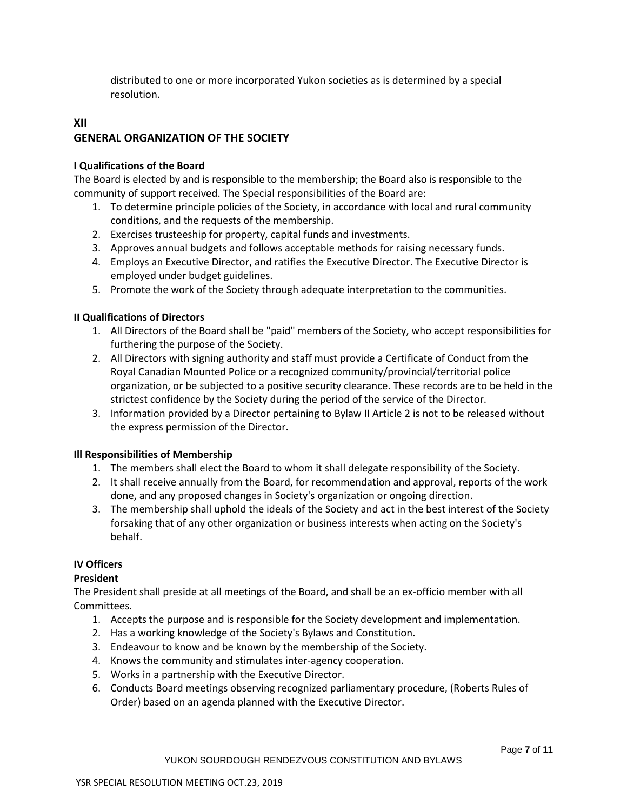distributed to one or more incorporated Yukon societies as is determined by a special resolution.

# **XII GENERAL ORGANIZATION OF THE SOCIETY**

# **I Qualifications of the Board**

The Board is elected by and is responsible to the membership; the Board also is responsible to the community of support received. The Special responsibilities of the Board are:

- 1. To determine principle policies of the Society, in accordance with local and rural community conditions, and the requests of the membership.
- 2. Exercises trusteeship for property, capital funds and investments.
- 3. Approves annual budgets and follows acceptable methods for raising necessary funds.
- 4. Employs an Executive Director, and ratifies the Executive Director. The Executive Director is employed under budget guidelines.
- 5. Promote the work of the Society through adequate interpretation to the communities.

# **II Qualifications of Directors**

- 1. All Directors of the Board shall be "paid" members of the Society, who accept responsibilities for furthering the purpose of the Society.
- 2. All Directors with signing authority and staff must provide a Certificate of Conduct from the Royal Canadian Mounted Police or a recognized community/provincial/territorial police organization, or be subjected to a positive security clearance. These records are to be held in the strictest confidence by the Society during the period of the service of the Director.
- 3. Information provided by a Director pertaining to Bylaw II Article 2 is not to be released without the express permission of the Director.

# **Ill Responsibilities of Membership**

- 1. The members shall elect the Board to whom it shall delegate responsibility of the Society.
- 2. It shall receive annually from the Board, for recommendation and approval, reports of the work done, and any proposed changes in Society's organization or ongoing direction.
- 3. The membership shall uphold the ideals of the Society and act in the best interest of the Society forsaking that of any other organization or business interests when acting on the Society's behalf.

# **IV Officers**

# **President**

The President shall preside at all meetings of the Board, and shall be an ex-officio member with all Committees.

- 1. Accepts the purpose and is responsible for the Society development and implementation.
- 2. Has a working knowledge of the Society's Bylaws and Constitution.
- 3. Endeavour to know and be known by the membership of the Society.
- 4. Knows the community and stimulates inter-agency cooperation.
- 5. Works in a partnership with the Executive Director.
- 6. Conducts Board meetings observing recognized parliamentary procedure, (Roberts Rules of Order) based on an agenda planned with the Executive Director.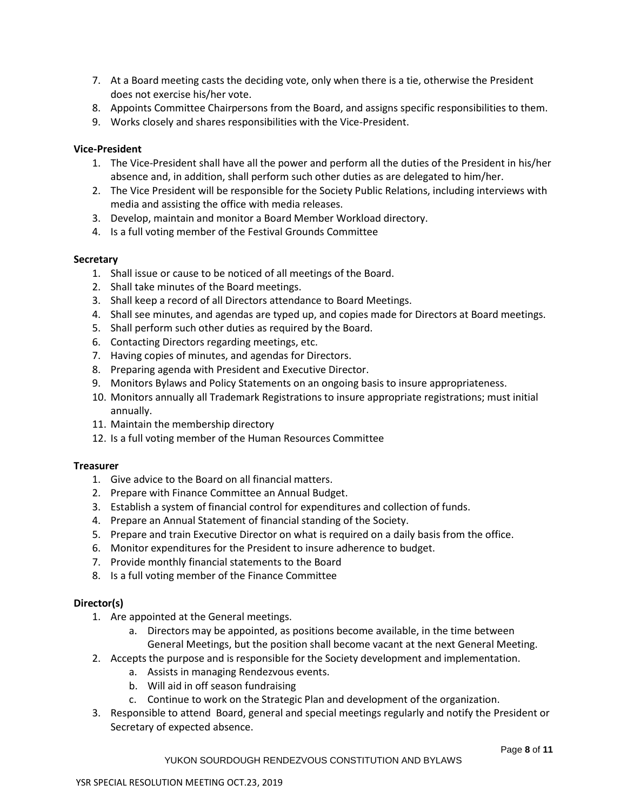- 7. At a Board meeting casts the deciding vote, only when there is a tie, otherwise the President does not exercise his/her vote.
- 8. Appoints Committee Chairpersons from the Board, and assigns specific responsibilities to them.
- 9. Works closely and shares responsibilities with the Vice-President.

#### **Vice-President**

- 1. The Vice-President shall have all the power and perform all the duties of the President in his/her absence and, in addition, shall perform such other duties as are delegated to him/her.
- 2. The Vice President will be responsible for the Society Public Relations, including interviews with media and assisting the office with media releases.
- 3. Develop, maintain and monitor a Board Member Workload directory.
- 4. Is a full voting member of the Festival Grounds Committee

#### **Secretary**

- 1. Shall issue or cause to be noticed of all meetings of the Board.
- 2. Shall take minutes of the Board meetings.
- 3. Shall keep a record of all Directors attendance to Board Meetings.
- 4. Shall see minutes, and agendas are typed up, and copies made for Directors at Board meetings.
- 5. Shall perform such other duties as required by the Board.
- 6. Contacting Directors regarding meetings, etc.
- 7. Having copies of minutes, and agendas for Directors.
- 8. Preparing agenda with President and Executive Director.
- 9. Monitors Bylaws and Policy Statements on an ongoing basis to insure appropriateness.
- 10. Monitors annually all Trademark Registrations to insure appropriate registrations; must initial annually.
- 11. Maintain the membership directory
- 12. Is a full voting member of the Human Resources Committee

# **Treasurer**

- 1. Give advice to the Board on all financial matters.
- 2. Prepare with Finance Committee an Annual Budget.
- 3. Establish a system of financial control for expenditures and collection of funds.
- 4. Prepare an Annual Statement of financial standing of the Society.
- 5. Prepare and train Executive Director on what is required on a daily basis from the office.
- 6. Monitor expenditures for the President to insure adherence to budget.
- 7. Provide monthly financial statements to the Board
- 8. Is a full voting member of the Finance Committee

# **Director(s)**

- 1. Are appointed at the General meetings.
	- a. Directors may be appointed, as positions become available, in the time between General Meetings, but the position shall become vacant at the next General Meeting.
- 2. Accepts the purpose and is responsible for the Society development and implementation.
	- a. Assists in managing Rendezvous events.
		- b. Will aid in off season fundraising
		- c. Continue to work on the Strategic Plan and development of the organization.
- 3. Responsible to attend Board, general and special meetings regularly and notify the President or Secretary of expected absence.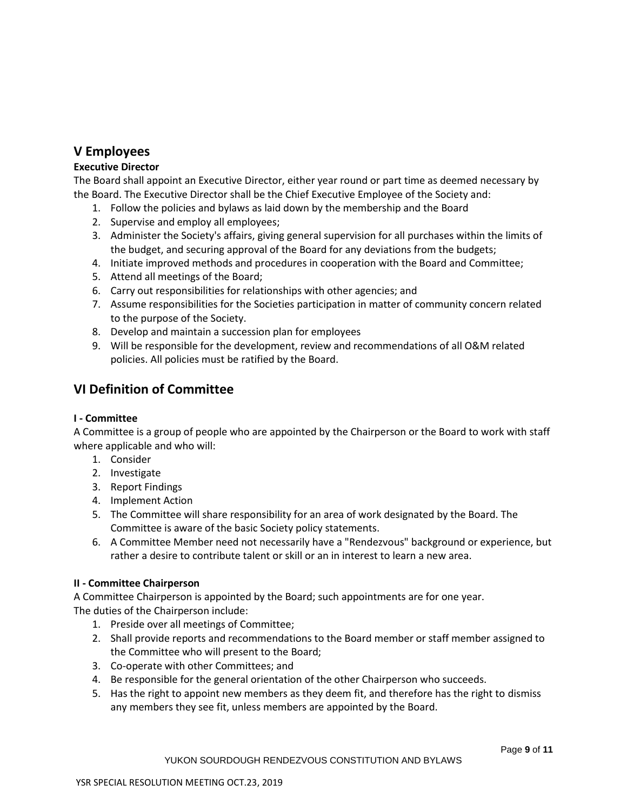# **V Employees**

# **Executive Director**

The Board shall appoint an Executive Director, either year round or part time as deemed necessary by the Board. The Executive Director shall be the Chief Executive Employee of the Society and:

- 1. Follow the policies and bylaws as laid down by the membership and the Board
- 2. Supervise and employ all employees;
- 3. Administer the Society's affairs, giving general supervision for all purchases within the limits of the budget, and securing approval of the Board for any deviations from the budgets;
- 4. Initiate improved methods and procedures in cooperation with the Board and Committee;
- 5. Attend all meetings of the Board;
- 6. Carry out responsibilities for relationships with other agencies; and
- 7. Assume responsibilities for the Societies participation in matter of community concern related to the purpose of the Society.
- 8. Develop and maintain a succession plan for employees
- 9. Will be responsible for the development, review and recommendations of all O&M related policies. All policies must be ratified by the Board.

# **VI Definition of Committee**

# **I - Committee**

A Committee is a group of people who are appointed by the Chairperson or the Board to work with staff where applicable and who will:

- 1. Consider
- 2. Investigate
- 3. Report Findings
- 4. Implement Action
- 5. The Committee will share responsibility for an area of work designated by the Board. The Committee is aware of the basic Society policy statements.
- 6. A Committee Member need not necessarily have a "Rendezvous" background or experience, but rather a desire to contribute talent or skill or an in interest to learn a new area.

# **II - Committee Chairperson**

A Committee Chairperson is appointed by the Board; such appointments are for one year. The duties of the Chairperson include:

- 1. Preside over all meetings of Committee;
- 2. Shall provide reports and recommendations to the Board member or staff member assigned to the Committee who will present to the Board;
- 3. Co-operate with other Committees; and
- 4. Be responsible for the general orientation of the other Chairperson who succeeds.
- 5. Has the right to appoint new members as they deem fit, and therefore has the right to dismiss any members they see fit, unless members are appointed by the Board.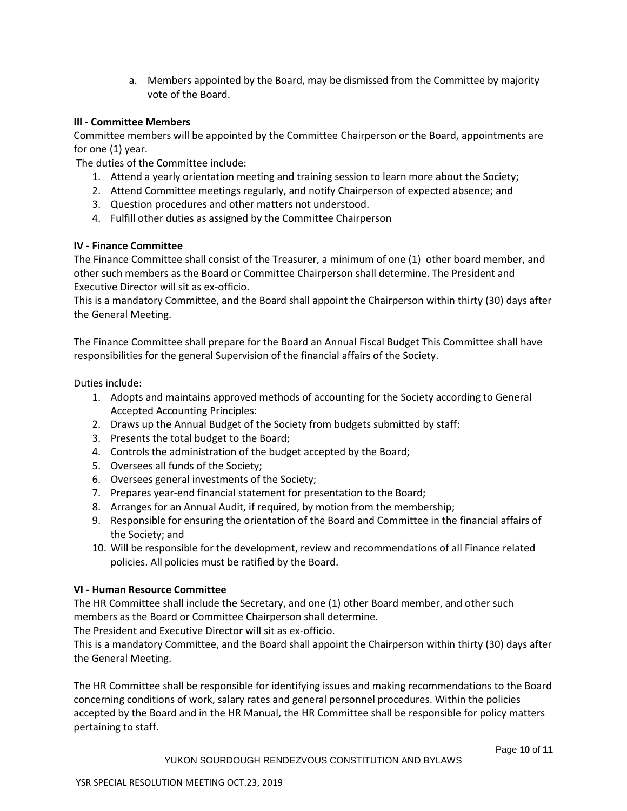a. Members appointed by the Board, may be dismissed from the Committee by majority vote of the Board.

#### **Ill - Committee Members**

Committee members will be appointed by the Committee Chairperson or the Board, appointments are for one (1) year.

The duties of the Committee include:

- 1. Attend a yearly orientation meeting and training session to learn more about the Society;
- 2. Attend Committee meetings regularly, and notify Chairperson of expected absence; and
- 3. Question procedures and other matters not understood.
- 4. Fulfill other duties as assigned by the Committee Chairperson

# **IV - Finance Committee**

The Finance Committee shall consist of the Treasurer, a minimum of one (1) other board member, and other such members as the Board or Committee Chairperson shall determine. The President and Executive Director will sit as ex-officio.

This is a mandatory Committee, and the Board shall appoint the Chairperson within thirty (30) days after the General Meeting.

The Finance Committee shall prepare for the Board an Annual Fiscal Budget This Committee shall have responsibilities for the general Supervision of the financial affairs of the Society.

Duties include:

- 1. Adopts and maintains approved methods of accounting for the Society according to General Accepted Accounting Principles:
- 2. Draws up the Annual Budget of the Society from budgets submitted by staff:
- 3. Presents the total budget to the Board;
- 4. Controls the administration of the budget accepted by the Board;
- 5. Oversees all funds of the Society;
- 6. Oversees general investments of the Society;
- 7. Prepares year-end financial statement for presentation to the Board;
- 8. Arranges for an Annual Audit, if required, by motion from the membership;
- 9. Responsible for ensuring the orientation of the Board and Committee in the financial affairs of the Society; and
- 10. Will be responsible for the development, review and recommendations of all Finance related policies. All policies must be ratified by the Board.

# **VI - Human Resource Committee**

The HR Committee shall include the Secretary, and one (1) other Board member, and other such members as the Board or Committee Chairperson shall determine.

The President and Executive Director will sit as ex-officio.

This is a mandatory Committee, and the Board shall appoint the Chairperson within thirty (30) days after the General Meeting.

The HR Committee shall be responsible for identifying issues and making recommendations to the Board concerning conditions of work, salary rates and general personnel procedures. Within the policies accepted by the Board and in the HR Manual, the HR Committee shall be responsible for policy matters pertaining to staff.